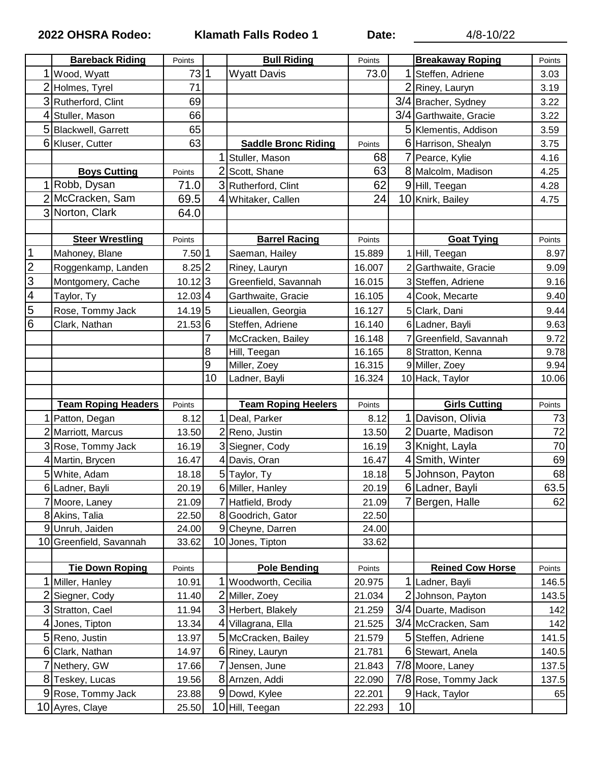**2022 OHSRA Rodeo: Klamath Falls Rodeo 1 Date:** 4/8-10/22

|                          | <b>Bareback Riding</b>                | Points         |    | <b>Bull Riding</b>               | Points           |         | <b>Breakaway Roping</b> | Points                                                                                     |
|--------------------------|---------------------------------------|----------------|----|----------------------------------|------------------|---------|-------------------------|--------------------------------------------------------------------------------------------|
|                          | Wood, Wyatt                           | 731            |    | <b>Wyatt Davis</b>               | 73.0             | 1       | Steffen, Adriene        | 3.03                                                                                       |
|                          | 2 Holmes, Tyrel                       | 71             |    |                                  |                  |         | 2 Riney, Lauryn         | 3.19                                                                                       |
|                          | 3 Rutherford, Clint                   | 69             |    |                                  |                  |         | 3/4 Bracher, Sydney     | 3.22                                                                                       |
| 4                        | Stuller, Mason                        | 66             |    |                                  |                  |         | 3/4 Garthwaite, Gracie  | 3.22                                                                                       |
| 5                        | Blackwell, Garrett                    | 65             |    |                                  |                  |         | 5 Klementis, Addison    | 3.59                                                                                       |
|                          | 6 Kluser, Cutter                      | 63             |    | <b>Saddle Bronc Riding</b>       | Points           |         | 6 Harrison, Shealyn     | 3.75                                                                                       |
|                          |                                       |                |    | Stuller, Mason                   | 68               |         | 7 Pearce, Kylie         | 4.16                                                                                       |
|                          | <b>Boys Cutting</b>                   | Points         |    | 2 Scott, Shane                   | 63               |         | 8 Malcolm, Madison      | 4.25                                                                                       |
|                          | Robb, Dysan                           | 71.0           |    | 3 Rutherford, Clint              | 62               |         | 9 Hill, Teegan          | 4.28                                                                                       |
|                          | McCracken, Sam                        | 69.5           |    | 4 Whitaker, Callen               | 24               |         | 10 Knirk, Bailey        | 4.75                                                                                       |
|                          | 3 Norton, Clark                       | 64.0           |    |                                  |                  |         |                         |                                                                                            |
|                          |                                       |                |    |                                  |                  |         |                         |                                                                                            |
|                          | <b>Steer Wrestling</b>                | Points         |    | <b>Barrel Racing</b>             | Points           |         | <b>Goat Tying</b>       | Points                                                                                     |
| $\mathbf 1$              | Mahoney, Blane                        | 7.50 1         |    | Saeman, Hailey                   | 15.889           |         | 1 Hill, Teegan          | 8.97                                                                                       |
| $\overline{2}$           | Roggenkamp, Landen                    | 8.25 2         |    | Riney, Lauryn                    | 16.007           |         | 2 Garthwaite, Gracie    | 9.09                                                                                       |
| 3                        | Montgomery, Cache                     | $10.12$ $3$    |    | Greenfield, Savannah             | 16.015           |         | 3 Steffen, Adriene      | 9.16                                                                                       |
| $\overline{\mathcal{A}}$ | Taylor, Ty                            | 12.03 4        |    | Garthwaite, Gracie               | 16.105           |         | 4 Cook, Mecarte         | 9.40                                                                                       |
| $\overline{5}$           | Rose, Tommy Jack                      | 14.19 5        |    | Lieuallen, Georgia               | 16.127           |         | 5 Clark, Dani           | 9.44                                                                                       |
| $\overline{6}$           | Clark, Nathan                         | 21.53 6        |    | Steffen, Adriene                 | 16.140           |         | 6 Ladner, Bayli         | 9.63                                                                                       |
|                          |                                       |                | 7  | McCracken, Bailey                | 16.148           |         | 7 Greenfield, Savannah  | 9.72                                                                                       |
|                          |                                       |                | 8  | Hill, Teegan                     | 16.165           |         | 8 Stratton, Kenna       | 9.78                                                                                       |
|                          |                                       |                | 9  | Miller, Zoey                     | 16.315           |         | 9 Miller, Zoey          | 9.94                                                                                       |
|                          |                                       |                | 10 | Ladner, Bayli                    | 16.324           |         | 10 Hack, Taylor         | 10.06                                                                                      |
|                          |                                       |                |    |                                  |                  |         |                         |                                                                                            |
|                          |                                       |                |    |                                  |                  |         |                         |                                                                                            |
|                          | <b>Team Roping Headers</b>            | Points         |    | <b>Team Roping Heelers</b>       | Points           |         | <b>Girls Cutting</b>    | Points                                                                                     |
|                          | Patton, Degan                         | 8.12           |    | Deal, Parker                     | 8.12             |         | Davison, Olivia         | 73                                                                                         |
|                          | 2 Marriott, Marcus                    | 13.50          |    | 2 Reno, Justin                   | 13.50            |         | 2 Duarte, Madison       | 72                                                                                         |
|                          | 3 Rose, Tommy Jack                    | 16.19          |    | 3 Siegner, Cody                  | 16.19            |         | 3 Knight, Layla         | 70                                                                                         |
|                          | 4 Martin, Brycen                      | 16.47          |    | 4 Davis, Oran                    | 16.47            |         | 4 Smith, Winter         | 69                                                                                         |
|                          | 5 White, Adam                         | 18.18          |    | 5 Taylor, Ty                     | 18.18            |         | 5 Johnson, Payton       |                                                                                            |
|                          | 6 Ladner, Bayli                       | 20.19          |    | 6 Miller, Hanley                 | 20.19            |         | 6 Ladner, Bayli         |                                                                                            |
|                          | 7 Moore, Laney                        | 21.09          |    | 7 Hatfield, Brody                | 21.09            |         | Bergen, Halle           |                                                                                            |
|                          | 8 Akins, Talia                        | 22.50          |    | 8 Goodrich, Gator                | 22.50            |         |                         |                                                                                            |
|                          | 9 Unruh, Jaiden                       | 24.00          |    | 9 Cheyne, Darren                 | 24.00            |         |                         |                                                                                            |
|                          | 10 Greenfield, Savannah               | 33.62          |    | 10 Jones, Tipton                 | 33.62            |         |                         |                                                                                            |
|                          |                                       |                |    |                                  |                  |         |                         |                                                                                            |
|                          | <b>Tie Down Roping</b>                | Points         |    | <b>Pole Bending</b>              | Points           |         | <b>Reined Cow Horse</b> | Points                                                                                     |
|                          | Miller, Hanley                        | 10.91          |    | Woodworth, Cecilia               | 20.975           |         | 1 Ladner, Bayli         |                                                                                            |
| 2                        | Siegner, Cody                         | 11.40          |    | 2 Miller, Zoey                   | 21.034           |         | 2 Johnson, Payton       |                                                                                            |
|                          | 3 Stratton, Cael                      | 11.94          |    | 3 Herbert, Blakely               | 21.259           |         | 3/4 Duarte, Madison     |                                                                                            |
| 4                        | Jones, Tipton                         | 13.34          |    | 4 Villagrana, Ella               | 21.525           |         | 3/4 McCracken, Sam      |                                                                                            |
|                          | 5 Reno, Justin                        | 13.97          |    | 5 McCracken, Bailey              | 21.579           |         | 5 Steffen, Adriene      |                                                                                            |
| 6                        | Clark, Nathan                         | 14.97          |    | 6 Riney, Lauryn                  | 21.781           |         | 6 Stewart, Anela        |                                                                                            |
|                          | Nethery, GW                           | 17.66          |    | 7 Jensen, June                   | 21.843           |         | 7/8 Moore, Laney        |                                                                                            |
|                          | 8 Teskey, Lucas                       | 19.56          |    | 8 Arnzen, Addi                   | 22.090           |         | 7/8 Rose, Tommy Jack    |                                                                                            |
|                          | 9 Rose, Tommy Jack<br>10 Ayres, Claye | 23.88<br>25.50 |    | 9 Dowd, Kylee<br>10 Hill, Teegan | 22.201<br>22.293 | 9<br>10 | Hack, Taylor            | 68<br>63.5<br>62<br>146.5<br>143.5<br>142<br>142<br>141.5<br>140.5<br>137.5<br>137.5<br>65 |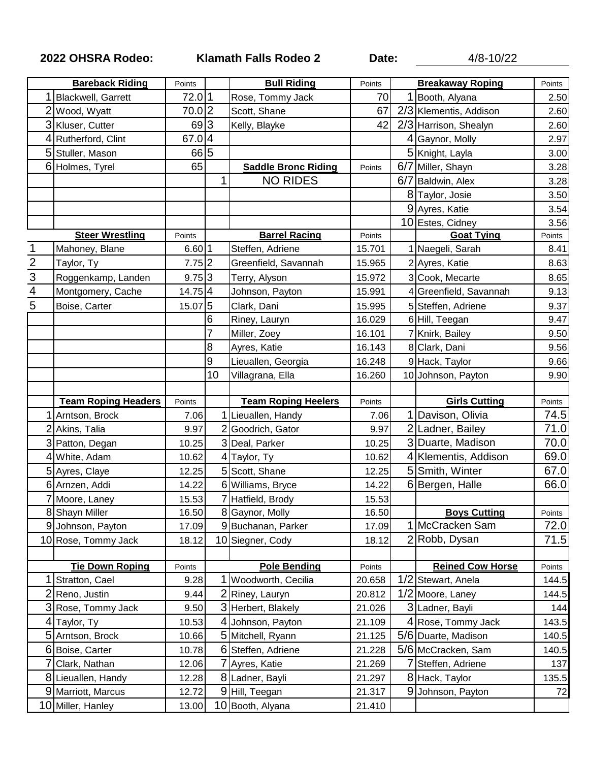**2022 OHSRA Rodeo: Klamath Falls Rodeo 2 Date:** 4/8-10/22

|                | <b>Bareback Riding</b>                  | Points         |    | <b>Bull Riding</b>                 | Points           |     | <b>Breakaway Roping</b> | Points                                         |
|----------------|-----------------------------------------|----------------|----|------------------------------------|------------------|-----|-------------------------|------------------------------------------------|
|                | <b>Blackwell, Garrett</b>               | 72.0 1         |    | Rose, Tommy Jack                   | 70               |     | Booth, Alyana           | 2.50                                           |
|                | 2 Wood, Wyatt                           | 70.02          |    | Scott, Shane                       | 67               |     | 2/3 Klementis, Addison  | 2.60                                           |
|                | 3 Kluser, Cutter                        | 69 3           |    | Kelly, Blayke                      | 42               |     | 2/3 Harrison, Shealyn   | 2.60                                           |
|                | 4 Rutherford, Clint                     | 67.04          |    |                                    |                  |     | Gaynor, Molly           | 2.97                                           |
|                | 5 Stuller, Mason                        | 665            |    |                                    |                  |     | 5 Knight, Layla         | 3.00                                           |
|                | 6 Holmes, Tyrel                         | 65             |    | <b>Saddle Bronc Riding</b>         | Points           | 6/7 | Miller, Shayn           | 3.28                                           |
|                |                                         |                | 1  | <b>NO RIDES</b>                    |                  | 6/7 | Baldwin, Alex           | 3.28                                           |
|                |                                         |                |    |                                    |                  |     | 8 Taylor, Josie         | 3.50                                           |
|                |                                         |                |    |                                    |                  |     | 9 Ayres, Katie          | 3.54                                           |
|                |                                         |                |    |                                    |                  |     | 10 Estes, Cidney        | 3.56                                           |
|                | <b>Steer Wrestling</b>                  | Points         |    | <b>Barrel Racing</b>               | Points           |     | <b>Goat Tying</b>       | Points                                         |
| 1              | Mahoney, Blane                          | 6.60 1         |    | Steffen, Adriene                   | 15.701           |     | 1 Naegeli, Sarah        | 8.41                                           |
| $\overline{2}$ | Taylor, Ty                              | 7.75 2         |    | Greenfield, Savannah               | 15.965           |     | 2 Ayres, Katie          | 8.63                                           |
|                | Roggenkamp, Landen                      | 9.75 3         |    | Terry, Alyson                      | 15.972           |     | 3 Cook, Mecarte         | 8.65                                           |
| $\frac{3}{4}$  | Montgomery, Cache                       | 14.75 4        |    | Johnson, Payton                    | 15.991           |     | 4 Greenfield, Savannah  | 9.13                                           |
|                | Boise, Carter                           | 15.07 5        |    | Clark, Dani                        | 15.995           |     | 5 Steffen, Adriene      | 9.37                                           |
|                |                                         |                | 6  | Riney, Lauryn                      | 16.029           |     | 6 Hill, Teegan          | 9.47                                           |
|                |                                         |                | 7  | Miller, Zoey                       | 16.101           |     | 7 Knirk, Bailey         | 9.50                                           |
|                |                                         |                | 8  | Ayres, Katie                       | 16.143           |     | 8 Clark, Dani           | 9.56                                           |
|                |                                         |                | 9  | Lieuallen, Georgia                 | 16.248           |     | 9 Hack, Taylor          | 9.66                                           |
|                |                                         |                | 10 | Villagrana, Ella                   | 16.260           |     | 10 Johnson, Payton      | 9.90                                           |
|                |                                         |                |    |                                    |                  |     |                         |                                                |
|                |                                         |                |    |                                    |                  |     |                         |                                                |
|                | <b>Team Roping Headers</b>              | Points         |    | <b>Team Roping Heelers</b>         | Points           |     | <b>Girls Cutting</b>    | Points                                         |
| 1              | Arntson, Brock                          | 7.06           |    | 1 Lieuallen, Handy                 | 7.06             |     | Davison, Olivia         | 74.5                                           |
|                | 2 Akins, Talia                          | 9.97           |    | 2 Goodrich, Gator                  | 9.97             |     | 2 Ladner, Bailey        | 71.0                                           |
|                | 3 Patton, Degan                         | 10.25          |    | 3 Deal, Parker                     | 10.25            |     | 3 Duarte, Madison       | 70.0                                           |
|                | 4 White, Adam                           | 10.62          |    | 4 Taylor, Ty                       | 10.62            |     | 4 Klementis, Addison    |                                                |
|                | 5 Ayres, Claye                          | 12.25          |    | 5 Scott, Shane                     | 12.25            |     | 5 Smith, Winter         |                                                |
|                | 6 Arnzen, Addi                          | 14.22          |    | 6 Williams, Bryce                  | 14.22            |     | 6 Bergen, Halle         |                                                |
|                | Moore, Laney                            | 15.53          |    | 7 Hatfield, Brody                  | 15.53            |     |                         |                                                |
|                | 8 Shayn Miller                          | 16.50          |    | 8 Gaynor, Molly                    | 16.50            |     | <b>Boys Cutting</b>     | Points                                         |
|                | 9 Johnson, Payton                       | 17.09          |    | 9 Buchanan, Parker                 | 17.09            |     | 1 McCracken Sam         |                                                |
|                | 10 Rose, Tommy Jack                     | 18.12          |    | 10 Siegner, Cody                   | 18.12            |     | 2 Robb, Dysan           |                                                |
|                |                                         |                |    |                                    |                  |     |                         |                                                |
|                | <b>Tie Down Roping</b>                  | Points         |    | <b>Pole Bending</b>                | Points           |     | <b>Reined Cow Horse</b> | 69.0<br>67.0<br>66.0<br>72.0<br>71.5<br>Points |
|                | Stratton, Cael                          | 9.28           |    | 1 Woodworth, Cecilia               | 20.658           | 1/2 | Stewart, Anela          | 144.5                                          |
| 2              | Reno, Justin                            | 9.44           |    | 2 Riney, Lauryn                    | 20.812           |     | 1/2 Moore, Laney        | 144.5                                          |
|                | 3 Rose, Tommy Jack                      | 9.50           |    | 3 Herbert, Blakely                 | 21.026           |     | 3 Ladner, Bayli         | 144                                            |
|                | Taylor, Ty                              | 10.53          |    | 4 Johnson, Payton                  | 21.109           |     | 4 Rose, Tommy Jack      |                                                |
|                | 5 Arntson, Brock                        | 10.66          |    | 5 Mitchell, Ryann                  | 21.125           |     | 5/6 Duarte, Madison     |                                                |
| 6              | Boise, Carter                           | 10.78          |    | 6 Steffen, Adriene                 | 21.228           |     | 5/6 McCracken, Sam      |                                                |
|                | Clark, Nathan                           | 12.06          |    | 7 Ayres, Katie                     | 21.269           |     | Steffen, Adriene        |                                                |
|                | 8 Lieuallen, Handy                      | 12.28          |    | 8 Ladner, Bayli                    | 21.297           |     | 8 Hack, Taylor          |                                                |
|                | 9 Marriott, Marcus<br>10 Miller, Hanley | 12.72<br>13.00 |    | 9 Hill, Teegan<br>10 Booth, Alyana | 21.317<br>21.410 | 9   | Johnson, Payton         | 143.5<br>140.5<br>140.5<br>137<br>135.5<br>72  |